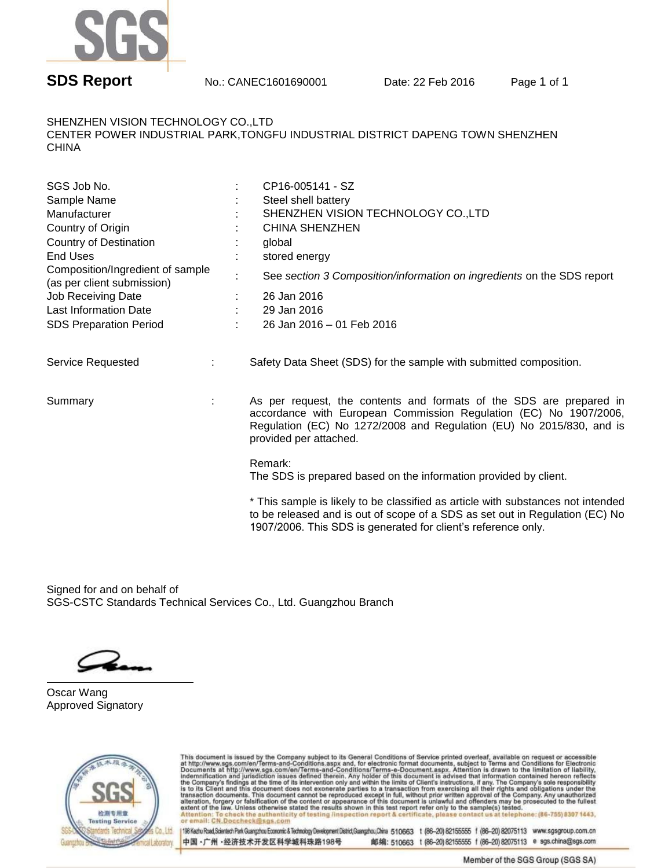

SHENZHEN VISION TECHNOLOGY CO.,LTD CENTER POWER INDUSTRIAL PARK,TONGFU INDUSTRIAL DISTRICT DAPENG TOWN SHENZHEN CHINA

| SGS Job No.<br>Sample Name<br>Manufacturer<br>Country of Origin<br><b>Country of Destination</b><br><b>End Uses</b><br>Composition/Ingredient of sample | $\blacksquare$ | CP16-005141 - SZ<br>Steel shell battery<br>SHENZHEN VISION TECHNOLOGY CO., LTD<br><b>CHINA SHENZHEN</b><br>global<br>stored energy                                                                                                         |
|---------------------------------------------------------------------------------------------------------------------------------------------------------|----------------|--------------------------------------------------------------------------------------------------------------------------------------------------------------------------------------------------------------------------------------------|
| (as per client submission)<br>Job Receiving Date<br><b>Last Information Date</b>                                                                        |                | See section 3 Composition/information on ingredients on the SDS report<br>26 Jan 2016<br>29 Jan 2016                                                                                                                                       |
| <b>SDS Preparation Period</b>                                                                                                                           |                | 26 Jan 2016 - 01 Feb 2016                                                                                                                                                                                                                  |
| Service Requested                                                                                                                                       |                | Safety Data Sheet (SDS) for the sample with submitted composition.                                                                                                                                                                         |
| Summary                                                                                                                                                 |                | As per request, the contents and formats of the SDS are prepared in<br>accordance with European Commission Regulation (EC) No 1907/2006,<br>Regulation (EC) No 1272/2008 and Regulation (EU) No 2015/830, and is<br>provided per attached. |
|                                                                                                                                                         |                | Remark:<br>The SDS is prepared based on the information provided by client.                                                                                                                                                                |
|                                                                                                                                                         |                | * This sample is likely to be classified as article with substances not intended<br>to be released and is out of scope of a SDS as set out in Regulation (EC) No<br>1907/2006. This SDS is generated for client's reference only.          |

Signed for and on behalf of SGS-CSTC Standards Technical Services Co., Ltd. Guangzhou Branch

Oscar Wang Approved Signatory



This document is issued by the Company subject to its General Conditions of Service printed overleaf, available on request or accessible at http://www.sgs.com/en/Terms-and-Conditions.aspx and, for electronic format docume Attention: To check the authenticity of testing /inspection report & certificate, please contact us at telephone: (86-755) 8307 1443,<br>or email: CN.Doccheck@sgs.com

198 Kezhu Road,Scientech Park Guangzhou Economic & Technology Development District Guangzhou, China 510663 t (86-20) 82155555 f (86-20) 82075113 www.sgsgroup.com.cn 中国·广州·经济技术开发区科学城科珠路198号 邮编: 510663 t (86-20) 82155555 f (86-20) 82075113 e sgs.china@sgs.com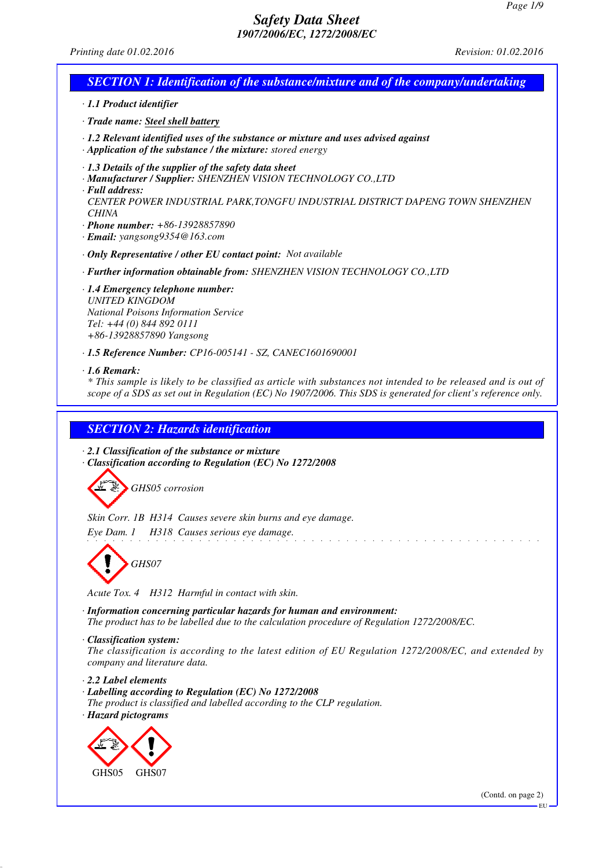*Printing date 01.02.2016 Revision: 01.02.2016*

## *SECTION 1: Identification of the substance/mixture and of the company/undertaking*

*· 1.1 Product identifier*

*· Trade name: Steel shell battery*

- *· 1.2 Relevant identified uses of the substance or mixture and uses advised against*
- *· Application of the substance / the mixture: stored energy*
- *· 1.3 Details of the supplier of the safety data sheet*
- *· Manufacturer / Supplier: SHENZHEN VISION TECHNOLOGY CO.,LTD*
- *· Full address:*
- *CENTER POWER INDUSTRIAL PARK,TONGFU INDUSTRIAL DISTRICT DAPENG TOWN SHENZHEN CHINA*
- *· Phone number: +86-13928857890*
- *· Email: yangsong9354@163.com*
- *· Only Representative / other EU contact point: Not available*
- *· Further information obtainable from: SHENZHEN VISION TECHNOLOGY CO.,LTD*
- *· 1.4 Emergency telephone number: UNITED KINGDOM National Poisons Information Service Tel: +44 (0) 844 892 0111 +86-13928857890 Yangsong*
- *· 1.5 Reference Number: CP16-005141 SZ, CANEC1601690001*

#### *· 1.6 Remark:*

*\* This sample is likely to be classified as article with substances not intended to be released and is out of scope of a SDS as set out in Regulation (EC) No 1907/2006. This SDS is generated for client's reference only.*

# *SECTION 2: Hazards identification*

- *· 2.1 Classification of the substance or mixture*
- *· Classification according to Regulation (EC) No 1272/2008*



*Skin Corr. 1B H314 Causes severe skin burns and eye damage.*

*Eye Dam. 1 H318 Causes serious eye damage.*



*Acute Tox. 4 H312 Harmful in contact with skin.*

*· Information concerning particular hazards for human and environment: The product has to be labelled due to the calculation procedure of Regulation 1272/2008/EC.*

*· Classification system:*

*The classification is according to the latest edition of EU Regulation 1272/2008/EC, and extended by company and literature data.*

and a straight

*· 2.2 Label elements*

- *· Labelling according to Regulation (EC) No 1272/2008*
- *The product is classified and labelled according to the CLP regulation. · Hazard pictograms*



EU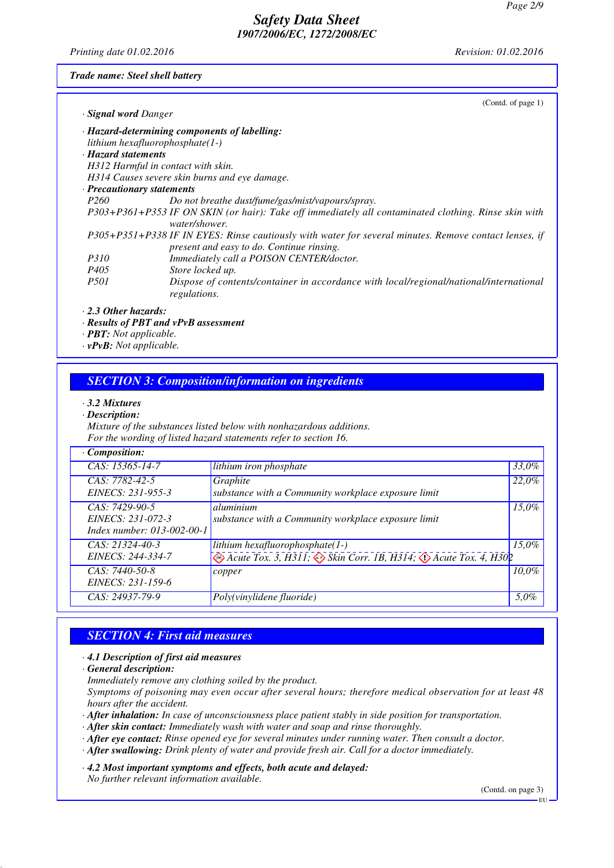*Printing date 01.02.2016 Revision: 01.02.2016*

*Trade name: Steel shell battery*

| (Contd. of page $1$ )<br>· Signal word Danger                                                                                                      |
|----------------------------------------------------------------------------------------------------------------------------------------------------|
| $\cdot$ Hazard-determining components of labelling:                                                                                                |
| lithium hexafluorophosphate $(1-)$                                                                                                                 |
| · Hazard statements                                                                                                                                |
| H312 Harmful in contact with skin.                                                                                                                 |
| H314 Causes severe skin burns and eye damage.                                                                                                      |
| · Precautionary statements                                                                                                                         |
| Do not breathe dust/fume/gas/mist/vapours/spray.                                                                                                   |
| P303+P361+P353 IF ON SKIN (or hair): Take off immediately all contaminated clothing. Rinse skin with<br>water/shower.                              |
| P305+P351+P338 IF IN EYES: Rinse cautiously with water for several minutes. Remove contact lenses, if<br>present and easy to do. Continue rinsing. |
| Immediately call a POISON CENTER/doctor.                                                                                                           |
| Store locked up.                                                                                                                                   |
| Dispose of contents/container in accordance with local/regional/national/international<br>regulations.                                             |
|                                                                                                                                                    |

- *· Results of PBT and vPvB assessment*
- *· PBT: Not applicable.*
- *· vPvB: Not applicable.*

#### *SECTION 3: Composition/information on ingredients*

- *· 3.2 Mixtures*
- *· Description:*

*Mixture of the substances listed below with nonhazardous additions. For the wording of listed hazard statements refer to section 16.*

| $\cdot$ Composition:                                              |                                                                                                                                                         |          |
|-------------------------------------------------------------------|---------------------------------------------------------------------------------------------------------------------------------------------------------|----------|
| CAS: 15365-14-7                                                   | lithium iron phosphate                                                                                                                                  | 33,0%    |
| $CAS: 7782-42-5$<br>EINECS: 231-955-3                             | Graphite<br>substance with a Community workplace exposure limit                                                                                         | 22,0%    |
| CAS: 7429-90-5<br>EINECS: 231-072-3<br>Index number: 013-002-00-1 | aluminium<br>substance with a Community workplace exposure limit                                                                                        | $15,0\%$ |
| $CAS: 21324-40-3$<br>EINECS: 244-334-7                            | lithium hexafluorophosphate $(1-)$<br>$\leftrightarrow$ Acute Tox. 3, H311; $\leftrightarrow$ Skin Corr. 1B, H314; $\leftrightarrow$ Acute Tox. 4, H302 | 15.0%    |
| $CAS: 7440-50-8$<br>EINECS: 231-159-6                             | copper                                                                                                                                                  | $10.0\%$ |
| CAS: 24937-79-9                                                   | Poly(vinylidene fluoride)                                                                                                                               | 5,0%     |

# *SECTION 4: First aid measures*

#### *· 4.1 Description of first aid measures*

*· General description:*

*Immediately remove any clothing soiled by the product.*

*Symptoms of poisoning may even occur after several hours; therefore medical observation for at least 48 hours after the accident.*

*· After inhalation: In case of unconsciousness place patient stably in side position for transportation.*

*· After skin contact: Immediately wash with water and soap and rinse thoroughly.*

- *· After eye contact: Rinse opened eye for several minutes under running water. Then consult a doctor.*
- *· After swallowing: Drink plenty of water and provide fresh air. Call for a doctor immediately.*

*· 4.2 Most important symptoms and effects, both acute and delayed:*

*No further relevant information available.*

(Contd. on page 3)

EU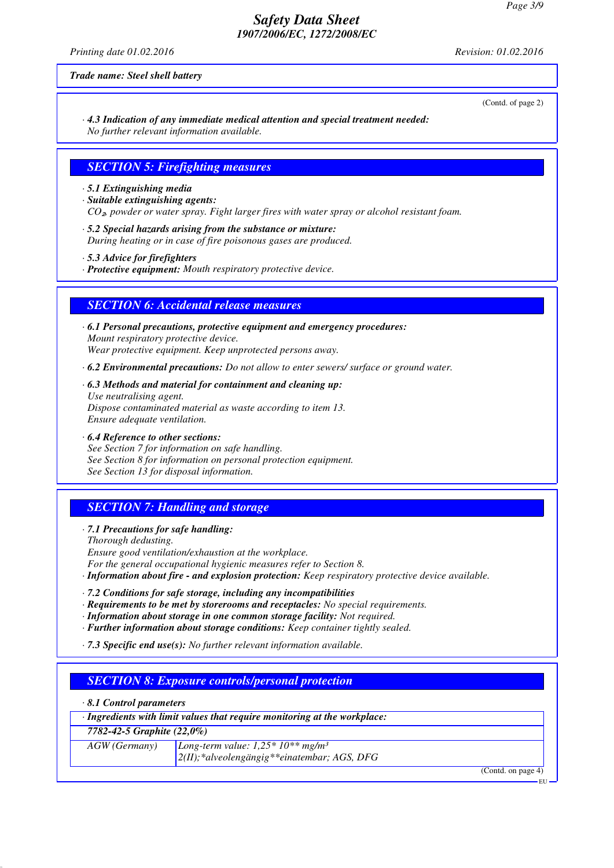*Printing date 01.02.2016 Revision: 01.02.2016*

*Trade name: Steel shell battery*

(Contd. of page 2)

*· 4.3 Indication of any immediate medical attention and special treatment needed: No further relevant information available.*

#### *SECTION 5: Firefighting measures*

- *· 5.1 Extinguishing media*
- *· Suitable extinguishing agents: CO*₂*, powder or water spray. Fight larger fires with water spray or alcohol resistant foam.*
- *· 5.2 Special hazards arising from the substance or mixture: During heating or in case of fire poisonous gases are produced.*
- *· 5.3 Advice for firefighters*
- *· Protective equipment: Mouth respiratory protective device.*

#### *SECTION 6: Accidental release measures*

- *· 6.1 Personal precautions, protective equipment and emergency procedures: Mount respiratory protective device. Wear protective equipment. Keep unprotected persons away.*
- *· 6.2 Environmental precautions: Do not allow to enter sewers/ surface or ground water.*
- *· 6.3 Methods and material for containment and cleaning up: Use neutralising agent. Dispose contaminated material as waste according to item 13. Ensure adequate ventilation.*
- *· 6.4 Reference to other sections: See Section 7 for information on safe handling. See Section 8 for information on personal protection equipment. See Section 13 for disposal information.*

# *SECTION 7: Handling and storage*

- *· 7.1 Precautions for safe handling:*
- *Thorough dedusting. Ensure good ventilation/exhaustion at the workplace. For the general occupational hygienic measures refer to Section 8.*
- *· Information about fire and explosion protection: Keep respiratory protective device available.*
- *· 7.2 Conditions for safe storage, including any incompatibilities*
- *· Requirements to be met by storerooms and receptacles: No special requirements.*
- *· Information about storage in one common storage facility: Not required.*
- *· Further information about storage conditions: Keep container tightly sealed.*
- *· 7.3 Specific end use(s): No further relevant information available.*

#### *SECTION 8: Exposure controls/personal protection*

*· 8.1 Control parameters*

| $\cdot$ Ingredients with limit values that require monitoring at the workplace: |                                                   |  |  |
|---------------------------------------------------------------------------------|---------------------------------------------------|--|--|
| 7782-42-5 Graphite $(22,0\%)$                                                   |                                                   |  |  |
| $AGW$ (Germany)                                                                 | Long-term value: $1,25*10**mg/m^3$                |  |  |
|                                                                                 | $2(II)$ ; *alveolengängig ** einatembar; AGS, DFG |  |  |
|                                                                                 | (Contd. on page 4)                                |  |  |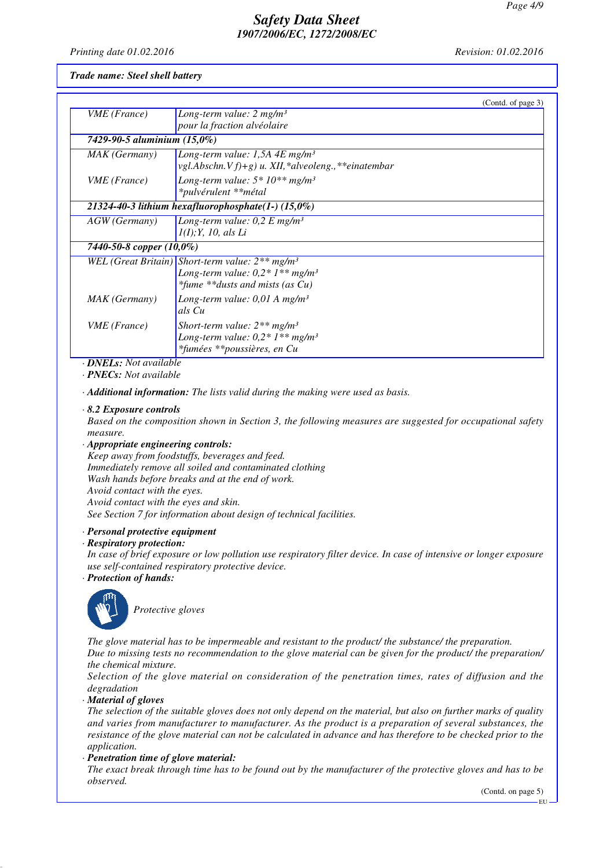Printing date 01.02.2016

Revision: 01.02.2016

Trade name: Steel shell battery

|                              |                                                         | (Contd. of page 3) |
|------------------------------|---------------------------------------------------------|--------------------|
| VME (France)                 | Long-term value: $2 mg/m3$                              |                    |
|                              | pour la fraction alvéolaire                             |                    |
| 7429-90-5 aluminium (15,0%)  |                                                         |                    |
| MAK (Germany)                | Long-term value: 1,5A $4E$ mg/m <sup>3</sup>            |                    |
|                              | vgl.Abschn.V $f$ )+g) u. XII, *alveoleng., **einatembar |                    |
| <i>VME</i> ( <i>France</i> ) | Long-term value: $5*10**mg/m^3$                         |                    |
|                              | *pulvérulent **métal                                    |                    |
|                              | 21324-40-3 lithium hexafluorophosphate $(1-)(15,0\%)$   |                    |
| AGW (Germany)                | Long-term value: $0.2 E$ mg/m <sup>3</sup>              |                    |
|                              | I(I); Y, 10, als Li                                     |                    |
| 7440-50-8 copper (10,0%)     |                                                         |                    |
|                              | WEL (Great Britain) Short-term value: $2**mg/m^3$       |                    |
|                              | Long-term value: $0.2 * 1**$ mg/m <sup>3</sup>          |                    |
|                              | *fume **dusts and mists (as $Cu$ )                      |                    |
| MAK (Germany)                | Long-term value: $0.01 \text{ A}$ mg/m <sup>3</sup>     |                    |
|                              | als Cu                                                  |                    |
| <i>VME</i> ( <i>France</i> ) | Short-term value: $2**mg/m^3$                           |                    |
|                              | Long-term value: $0.2 * 1**$ mg/m <sup>3</sup>          |                    |
|                              | *fumées **poussières, en Cu                             |                    |

· **DNELs:** Not available

 $\cdot$  **PNECs**: Not available

· Additional information: The lists valid during the making were used as basis.

#### $\cdot$  8.2 Exposure controls

Based on the composition shown in Section 3, the following measures are suggested for occupational safety measure.

 $\cdot$  Appropriate engineering controls:

Keep away from foodstuffs, beverages and feed. Immediately remove all soiled and contaminated clothing Wash hands before breaks and at the end of work. Avoid contact with the eyes. Avoid contact with the eyes and skin. See Section 7 for information about design of technical facilities.

· Personal protective equipment

#### · Respiratory protection:

In case of brief exposure or low pollution use respiratory filter device. In case of intensive or longer exposure use self-contained respiratory protective device.

· Protection of hands:



Protective gloves

The glove material has to be impermeable and resistant to the product the substance the preparation. Due to missing tests no recommendation to the glove material can be given for the product/ the preparation/ the chemical mixture.

Selection of the glove material on consideration of the penetration times, rates of diffusion and the degradation

· Material of gloves

The selection of the suitable gloves does not only depend on the material, but also on further marks of quality and varies from manufacturer to manufacturer. As the product is a preparation of several substances, the resistance of the glove material can not be calculated in advance and has therefore to be checked prior to the application.

· Penetration time of glove material:

The exact break through time has to be found out by the manufacturer of the protective gloves and has to be observed.

(Contd. on page 5)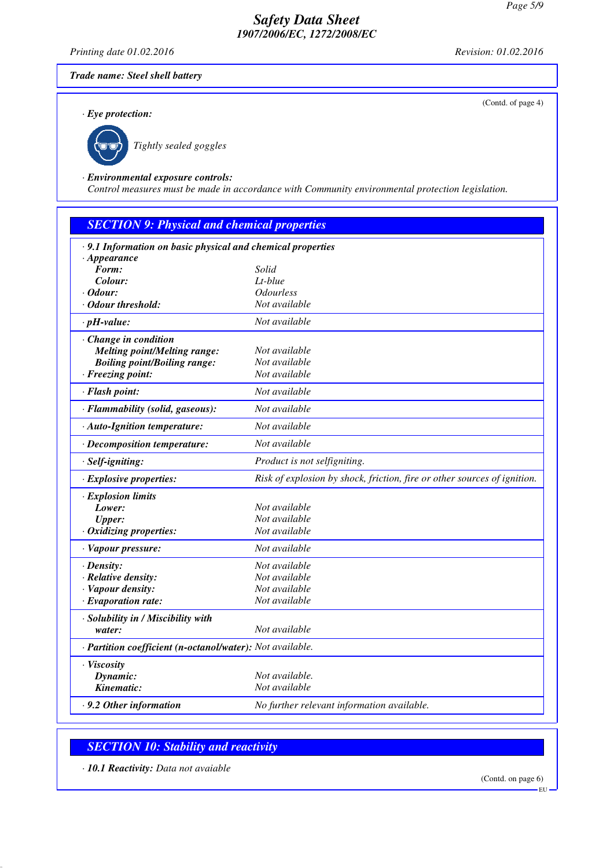*Printing date 01.02.2016 Revision: 01.02.2016*

(Contd. of page 4)

#### *Trade name: Steel shell battery*

*· Eye protection:*



*Tightly sealed goggles*

#### *· Environmental exposure controls:*

*Control measures must be made in accordance with Community environmental protection legislation.*

| <b>SECTION 9: Physical and chemical properties</b>         |                                                                          |
|------------------------------------------------------------|--------------------------------------------------------------------------|
| .9.1 Information on basic physical and chemical properties |                                                                          |
| $\cdot$ Appearance                                         |                                                                          |
| Form:                                                      | Solid                                                                    |
| Colour:                                                    | $Lt$ -blue                                                               |
| $\cdot$ Odour:                                             | <i><b>Odourless</b></i>                                                  |
| · Odour threshold:                                         | Not available                                                            |
| $\cdot$ pH-value:                                          | Not available                                                            |
| · Change in condition                                      |                                                                          |
| <b>Melting point/Melting range:</b>                        | Not available                                                            |
| <b>Boiling point/Boiling range:</b>                        | Not available                                                            |
| · Freezing point:                                          | Not available                                                            |
| · Flash point:                                             | Not available                                                            |
| · Flammability (solid, gaseous):                           | Not available                                                            |
| · Auto-Ignition temperature:                               | Not available                                                            |
| · Decomposition temperature:                               | Not available                                                            |
| $·$ Self-igniting:                                         | Product is not selfigniting.                                             |
| $\cdot$ Explosive properties:                              | Risk of explosion by shock, friction, fire or other sources of ignition. |
| · Explosion limits                                         |                                                                          |
| Lower:                                                     | Not available                                                            |
| <b>Upper:</b>                                              | Not available                                                            |
| $\cdot$ Oxidizing properties:                              | Not available                                                            |
| · Vapour pressure:                                         | Not available                                                            |
| $\cdot$ Density:                                           | Not available                                                            |
| · Relative density:                                        | Not available                                                            |
| · Vapour density:                                          | Not available                                                            |
| $\cdot$ Evaporation rate:                                  | Not available                                                            |
| · Solubility in / Miscibility with                         |                                                                          |
| water:                                                     | Not available                                                            |
| · Partition coefficient (n-octanol/water): Not available.  |                                                                          |
| · Viscosity                                                |                                                                          |
| Dynamic:                                                   | Not available.                                                           |
| Kinematic:                                                 | Not available                                                            |
| $\cdot$ 9.2 Other information                              | No further relevant information available.                               |

# *SECTION 10: Stability and reactivity*

*· 10.1 Reactivity: Data not avaiable*

(Contd. on page 6)

EU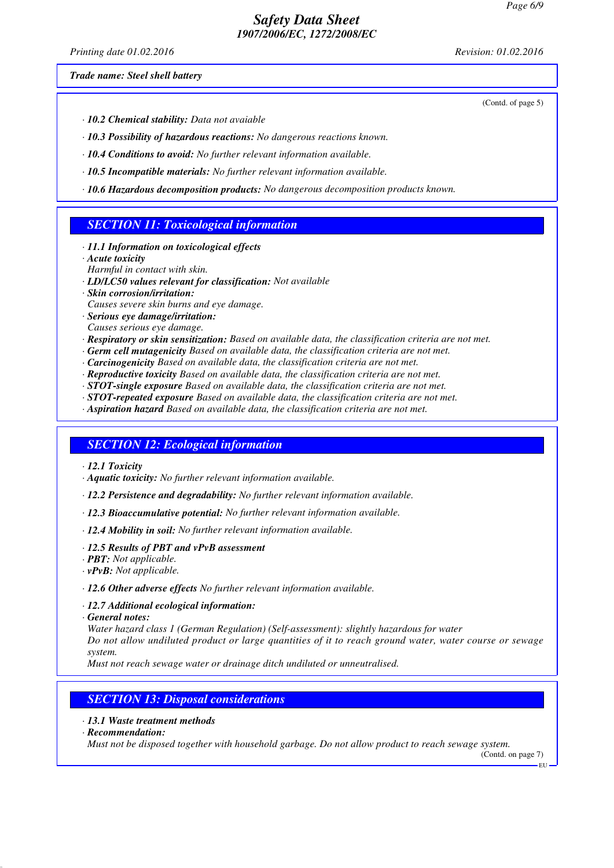*Printing date 01.02.2016 Revision: 01.02.2016*

*Trade name: Steel shell battery*

(Contd. of page 5)

- *· 10.2 Chemical stability: Data not avaiable*
- *· 10.3 Possibility of hazardous reactions: No dangerous reactions known.*
- *· 10.4 Conditions to avoid: No further relevant information available.*
- *· 10.5 Incompatible materials: No further relevant information available.*
- *· 10.6 Hazardous decomposition products: No dangerous decomposition products known.*

#### *SECTION 11: Toxicological information*

- *· 11.1 Information on toxicological effects*
- *· Acute toxicity*
- *Harmful in contact with skin.*
- *· LD/LC50 values relevant for classification: Not available*
- *· Skin corrosion/irritation:*
- *Causes severe skin burns and eye damage.*
- *· Serious eye damage/irritation:*
- *Causes serious eye damage.*
- *· Respiratory or skin sensitization: Based on available data, the classification criteria are not met.*
- *· Germ cell mutagenicity Based on available data, the classification criteria are not met.*
- *· Carcinogenicity Based on available data, the classification criteria are not met.*
- *· Reproductive toxicity Based on available data, the classification criteria are not met.*
- *· STOT-single exposure Based on available data, the classification criteria are not met.*
- *· STOT-repeated exposure Based on available data, the classification criteria are not met.*
- *· Aspiration hazard Based on available data, the classification criteria are not met.*

#### *SECTION 12: Ecological information*

- *· 12.1 Toxicity*
- *· Aquatic toxicity: No further relevant information available.*
- *· 12.2 Persistence and degradability: No further relevant information available.*
- *· 12.3 Bioaccumulative potential: No further relevant information available.*
- *· 12.4 Mobility in soil: No further relevant information available.*
- *· 12.5 Results of PBT and vPvB assessment*
- *· PBT: Not applicable.*
- *· vPvB: Not applicable.*
- *· 12.6 Other adverse effects No further relevant information available.*
- *· 12.7 Additional ecological information:*
- *· General notes:*

*Water hazard class 1 (German Regulation) (Self-assessment): slightly hazardous for water Do not allow undiluted product or large quantities of it to reach ground water, water course or sewage system.*

*Must not reach sewage water or drainage ditch undiluted or unneutralised.*

# *SECTION 13: Disposal considerations*

- *· 13.1 Waste treatment methods*
- *· Recommendation:*

*Must not be disposed together with household garbage. Do not allow product to reach sewage system.*

(Contd. on page 7) EU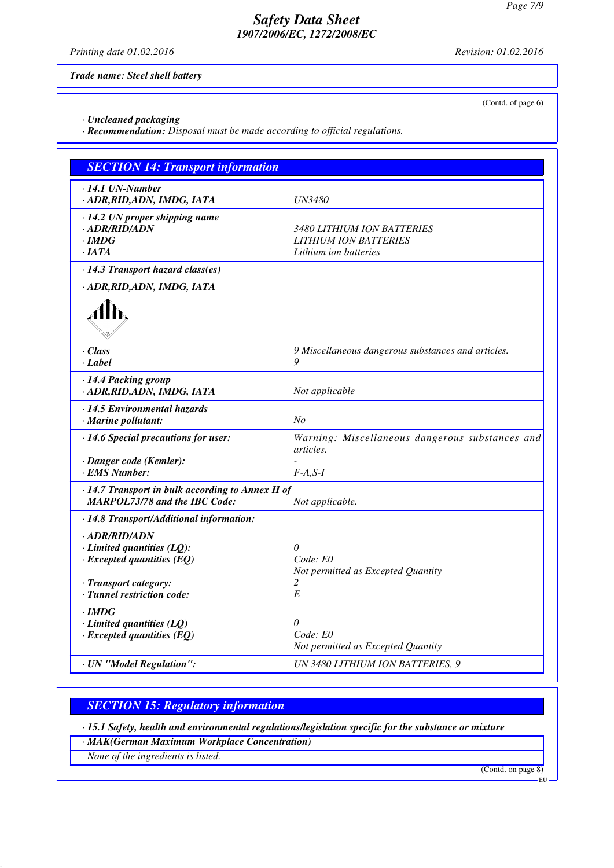*Printing date 01.02.2016 Revision: 01.02.2016*

(Contd. of page 6)

*Trade name: Steel shell battery*

*· Uncleaned packaging*

*· Recommendation: Disposal must be made according to official regulations.*

| <b>SECTION 14: Transport information</b>            |                                                                     |
|-----------------------------------------------------|---------------------------------------------------------------------|
| ⋅14.1 UN-Number<br>· ADR, RID, ADN, IMDG, IATA      | <b>UN3480</b>                                                       |
| $\cdot$ 14.2 UN proper shipping name                |                                                                     |
| · ADR/RID/ADN                                       | 3480 LITHIUM ION BATTERIES                                          |
| · IMDG                                              | <b>LITHIUM ION BATTERIES</b>                                        |
| $\cdot$ JATA                                        | Lithium ion batteries                                               |
| · 14.3 Transport hazard class(es)                   |                                                                     |
| · ADR, RID, ADN, IMDG, IATA                         |                                                                     |
|                                                     |                                                                     |
| · Class<br>· Label                                  | 9 Miscellaneous dangerous substances and articles.<br>9             |
| · 14.4 Packing group<br>· ADR, RID, ADN, IMDG, IATA | Not applicable                                                      |
| $\cdot$ 14.5 Environmental hazards                  |                                                                     |
| · Marine pollutant:                                 | N <sub>O</sub>                                                      |
| · 14.6 Special precautions for user:                | Warning: Miscellaneous dangerous substances and<br><i>articles.</i> |
| · Danger code (Kemler):                             |                                                                     |
| <b>EMS Number:</b>                                  | $F-A, S-I$                                                          |
| · 14.7 Transport in bulk according to Annex II of   |                                                                     |
| <b>MARPOL73/78 and the IBC Code:</b>                | Not applicable.                                                     |
| · 14.8 Transport/Additional information:            |                                                                     |
| · ADR/RID/ADN                                       |                                                                     |
| $\cdot$ Limited quantities (LQ):                    | $\theta$                                                            |
| $\cdot$ Excepted quantities (EQ)                    | Code: E0                                                            |
|                                                     | Not permitted as Excepted Quantity                                  |
| · Transport category:                               | 2                                                                   |
| · Tunnel restriction code:                          | E                                                                   |
| · IMDG                                              |                                                                     |
| $\cdot$ Limited quantities (LQ)                     | $\theta$                                                            |
| $\cdot$ Excepted quantities (EQ)                    | Code: E0                                                            |
|                                                     | Not permitted as Excepted Quantity                                  |
| · UN "Model Regulation":                            | UN 3480 LITHIUM ION BATTERIES, 9                                    |

# *SECTION 15: Regulatory information*

*· 15.1 Safety, health and environmental regulations/legislation specific for the substance or mixture*

*· MAK(German Maximum Workplace Concentration)*

*None of the ingredients is listed.*

(Contd. on page 8)

EU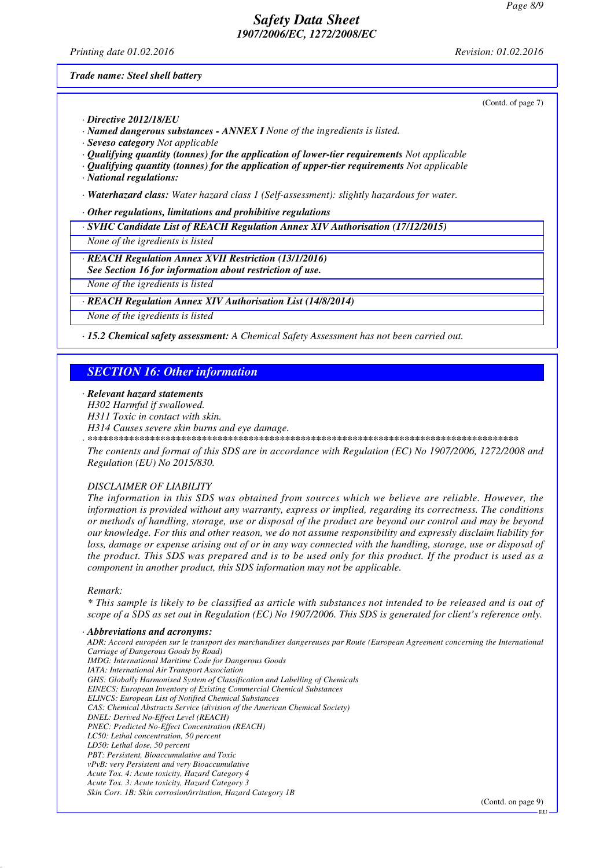*Printing date 01.02.2016 Revision: 01.02.2016*

*Trade name: Steel shell battery*

(Contd. of page 7)

*· Directive 2012/18/EU*

- *· Named dangerous substances ANNEX I None of the ingredients is listed.*
- *· Seveso category Not applicable*
- *· Qualifying quantity (tonnes) for the application of lower-tier requirements Not applicable*
- *· Qualifying quantity (tonnes) for the application of upper-tier requirements Not applicable*
- *· National regulations:*

*· Waterhazard class: Water hazard class 1 (Self-assessment): slightly hazardous for water.*

*· Other regulations, limitations and prohibitive regulations*

*· SVHC Candidate List of REACH Regulation Annex XIV Authorisation (17/12/2015)*

*None of the igredients is listed*

*· REACH Regulation Annex XVII Restriction (13/1/2016)*

*See Section 16 for information about restriction of use.*

*None of the igredients is listed*

#### *· REACH Regulation Annex XIV Authorisation List (14/8/2014)*

*None of the igredients is listed*

*· 15.2 Chemical safety assessment: A Chemical Safety Assessment has not been carried out.*

#### *SECTION 16: Other information*

- *· Relevant hazard statements*
- *H302 Harmful if swallowed.*
- *H311 Toxic in contact with skin.*
- *H314 Causes severe skin burns and eye damage.*
- *· \*\*\*\*\*\*\*\*\*\*\*\*\*\*\*\*\*\*\*\*\*\*\*\*\*\*\*\*\*\*\*\*\*\*\*\*\*\*\*\*\*\*\*\*\*\*\*\*\*\*\*\*\*\*\*\*\*\*\*\*\*\*\*\*\*\*\*\*\*\*\*\*\*\*\*\*\*\*\*\*\*\*\**

*The contents and format of this SDS are in accordance with Regulation (EC) No 1907/2006, 1272/2008 and Regulation (EU) No 2015/830.*

#### *DISCLAIMER OF LIABILITY*

*The information in this SDS was obtained from sources which we believe are reliable. However, the information is provided without any warranty, express or implied, regarding its correctness. The conditions or methods of handling, storage, use or disposal of the product are beyond our control and may be beyond our knowledge. For this and other reason, we do not assume responsibility and expressly disclaim liability for loss, damage or expense arising out of or in any way connected with the handling, storage, use or disposal of the product. This SDS was prepared and is to be used only for this product. If the product is used as a component in another product, this SDS information may not be applicable.*

#### *Remark:*

*\* This sample is likely to be classified as article with substances not intended to be released and is out of scope of a SDS as set out in Regulation (EC) No 1907/2006. This SDS is generated for client's reference only.*

#### *· Abbreviations and acronyms:*

*ADR: Accord européen sur le transport des marchandises dangereuses par Route (European Agreement concerning the International Carriage of Dangerous Goods by Road) IMDG: International Maritime Code for Dangerous Goods IATA: International Air Transport Association GHS: Globally Harmonised System of Classification and Labelling of Chemicals EINECS: European Inventory of Existing Commercial Chemical Substances ELINCS: European List of Notified Chemical Substances CAS: Chemical Abstracts Service (division of the American Chemical Society) DNEL: Derived No-Effect Level (REACH) PNEC: Predicted No-Effect Concentration (REACH) LC50: Lethal concentration, 50 percent LD50: Lethal dose, 50 percent PBT: Persistent, Bioaccumulative and Toxic vPvB: very Persistent and very Bioaccumulative Acute Tox. 4: Acute toxicity, Hazard Category 4 Acute Tox. 3: Acute toxicity, Hazard Category 3 Skin Corr. 1B: Skin corrosion/irritation, Hazard Category 1B*